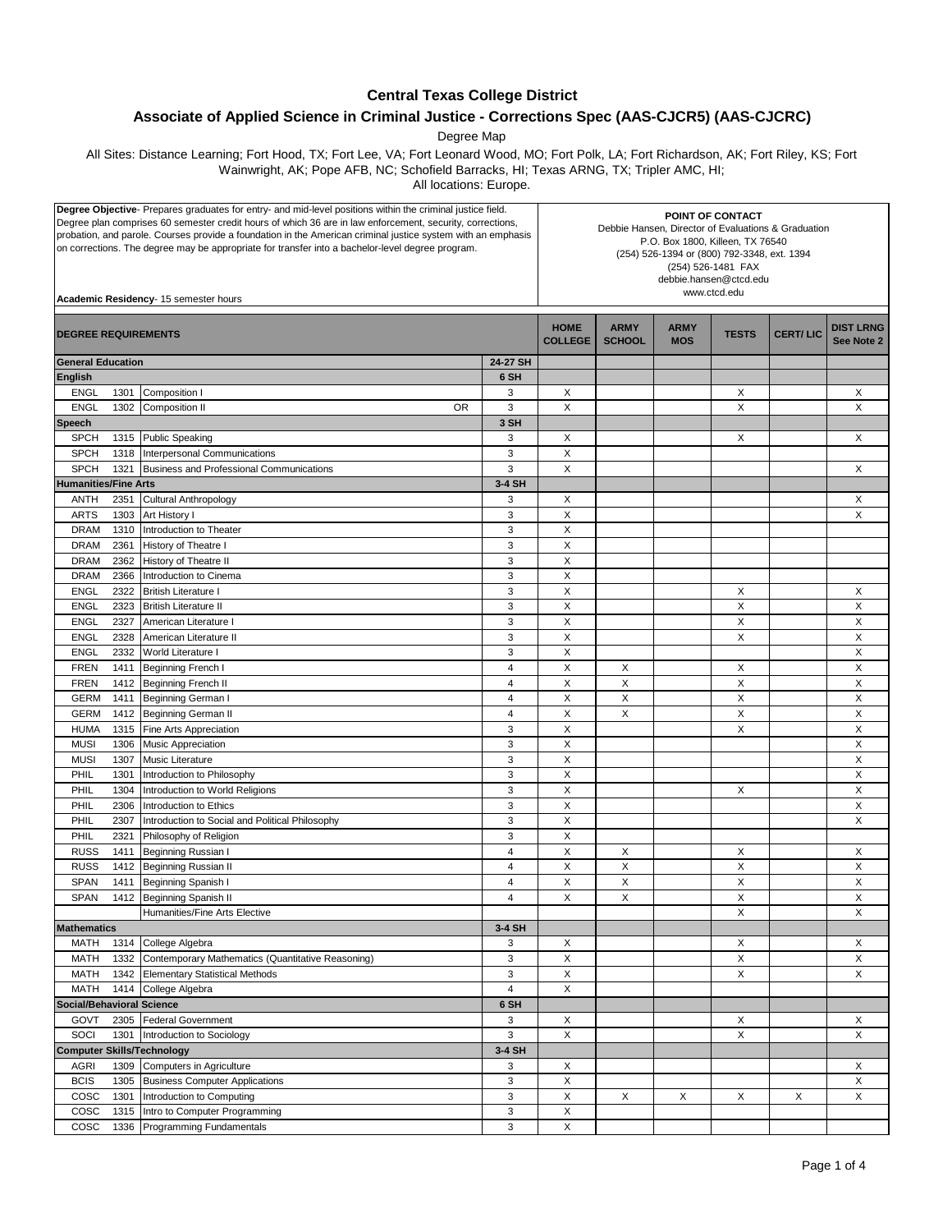## **Central Texas College District**

## **Associate of Applied Science in Criminal Justice - Corrections Spec (AAS-CJCR5) (AAS-CJCRC)**

Degree Map

All Sites: Distance Learning; Fort Hood, TX; Fort Lee, VA; Fort Leonard Wood, MO; Fort Polk, LA; Fort Richardson, AK; Fort Riley, KS; Fort Wainwright, AK; Pope AFB, NC; Schofield Barracks, HI; Texas ARNG, TX; Tripler AMC, HI;

All locations: Europe.

| Degree Objective- Prepares graduates for entry- and mid-level positions within the criminal justice field.<br>Degree plan comprises 60 semester credit hours of which 36 are in law enforcement, security, corrections,<br>probation, and parole. Courses provide a foundation in the American criminal justice system with an emphasis<br>on corrections. The degree may be appropriate for transfer into a bachelor-level degree program.<br>Academic Residency- 15 semester hours |              |                                                           | POINT OF CONTACT<br>Debbie Hansen, Director of Evaluations & Graduation<br>P.O. Box 1800, Killeen, TX 76540<br>(254) 526-1394 or (800) 792-3348, ext. 1394<br>(254) 526-1481 FAX<br>debbie.hansen@ctcd.edu<br>www.ctcd.edu |                               |                              |                           |                |                 |                                |
|--------------------------------------------------------------------------------------------------------------------------------------------------------------------------------------------------------------------------------------------------------------------------------------------------------------------------------------------------------------------------------------------------------------------------------------------------------------------------------------|--------------|-----------------------------------------------------------|----------------------------------------------------------------------------------------------------------------------------------------------------------------------------------------------------------------------------|-------------------------------|------------------------------|---------------------------|----------------|-----------------|--------------------------------|
| <b>DEGREE REQUIREMENTS</b>                                                                                                                                                                                                                                                                                                                                                                                                                                                           |              |                                                           |                                                                                                                                                                                                                            | <b>HOME</b><br><b>COLLEGE</b> | <b>ARMY</b><br><b>SCHOOL</b> | <b>ARMY</b><br><b>MOS</b> | <b>TESTS</b>   | <b>CERT/LIC</b> | <b>DIST LRNG</b><br>See Note 2 |
| <b>General Education</b>                                                                                                                                                                                                                                                                                                                                                                                                                                                             |              |                                                           | 24-27 SH                                                                                                                                                                                                                   |                               |                              |                           |                |                 |                                |
| <b>English</b>                                                                                                                                                                                                                                                                                                                                                                                                                                                                       |              |                                                           | 6 SH                                                                                                                                                                                                                       |                               |                              |                           |                |                 |                                |
| ENGL                                                                                                                                                                                                                                                                                                                                                                                                                                                                                 | 1301         | Composition I                                             | 3                                                                                                                                                                                                                          | X                             |                              |                           | X              |                 | X                              |
| <b>ENGL</b>                                                                                                                                                                                                                                                                                                                                                                                                                                                                          | 1302         | <b>OR</b><br><b>Composition II</b>                        | 3                                                                                                                                                                                                                          | X                             |                              |                           | X              |                 | X                              |
| <b>Speech</b>                                                                                                                                                                                                                                                                                                                                                                                                                                                                        |              |                                                           | 3 SH                                                                                                                                                                                                                       |                               |                              |                           |                |                 |                                |
| <b>SPCH</b>                                                                                                                                                                                                                                                                                                                                                                                                                                                                          | 1315         | <b>Public Speaking</b>                                    | 3                                                                                                                                                                                                                          | X                             |                              |                           | X              |                 | X                              |
| <b>SPCH</b>                                                                                                                                                                                                                                                                                                                                                                                                                                                                          | 1318         | Interpersonal Communications                              | 3                                                                                                                                                                                                                          | X                             |                              |                           |                |                 |                                |
| <b>SPCH</b>                                                                                                                                                                                                                                                                                                                                                                                                                                                                          | 1321         | Business and Professional Communications                  | 3                                                                                                                                                                                                                          | X                             |                              |                           |                |                 | X                              |
| <b>Humanities/Fine Arts</b>                                                                                                                                                                                                                                                                                                                                                                                                                                                          |              |                                                           | 3-4 SH                                                                                                                                                                                                                     |                               |                              |                           |                |                 |                                |
| ANTH                                                                                                                                                                                                                                                                                                                                                                                                                                                                                 | 2351         | Cultural Anthropology                                     | 3                                                                                                                                                                                                                          | X                             |                              |                           |                |                 | X                              |
| <b>ARTS</b>                                                                                                                                                                                                                                                                                                                                                                                                                                                                          | 1303         | Art History I                                             | 3                                                                                                                                                                                                                          | X                             |                              |                           |                |                 | X                              |
| <b>DRAM</b>                                                                                                                                                                                                                                                                                                                                                                                                                                                                          | 1310         | Introduction to Theater                                   | 3                                                                                                                                                                                                                          | X                             |                              |                           |                |                 |                                |
| <b>DRAM</b>                                                                                                                                                                                                                                                                                                                                                                                                                                                                          | 2361         | History of Theatre I                                      | 3                                                                                                                                                                                                                          | X                             |                              |                           |                |                 |                                |
| <b>DRAM</b>                                                                                                                                                                                                                                                                                                                                                                                                                                                                          | 2362         | History of Theatre II                                     | 3                                                                                                                                                                                                                          | X                             |                              |                           |                |                 |                                |
| <b>DRAM</b>                                                                                                                                                                                                                                                                                                                                                                                                                                                                          | 2366         | Introduction to Cinema                                    | 3                                                                                                                                                                                                                          | X                             |                              |                           |                |                 |                                |
| <b>ENGL</b>                                                                                                                                                                                                                                                                                                                                                                                                                                                                          | 2322         | <b>British Literature I</b>                               | 3                                                                                                                                                                                                                          | X                             |                              |                           | Х              |                 | Х                              |
| ENGL                                                                                                                                                                                                                                                                                                                                                                                                                                                                                 | 2323         | <b>British Literature II</b>                              | 3                                                                                                                                                                                                                          | X                             |                              |                           | Χ              |                 | X                              |
| <b>ENGL</b>                                                                                                                                                                                                                                                                                                                                                                                                                                                                          | 2327         | American Literature I                                     | 3                                                                                                                                                                                                                          | X                             |                              |                           | $\pmb{\times}$ |                 | X                              |
| <b>ENGL</b>                                                                                                                                                                                                                                                                                                                                                                                                                                                                          | 2328         | American Literature II                                    | 3                                                                                                                                                                                                                          | X                             |                              |                           | X              |                 | X                              |
| <b>ENGL</b>                                                                                                                                                                                                                                                                                                                                                                                                                                                                          | 2332         | World Literature I                                        | 3                                                                                                                                                                                                                          | X                             |                              |                           |                |                 | X                              |
| <b>FREN</b>                                                                                                                                                                                                                                                                                                                                                                                                                                                                          | 1411         | Beginning French I                                        | $\overline{4}$                                                                                                                                                                                                             | X                             | X                            |                           | X              |                 | X                              |
| <b>FREN</b>                                                                                                                                                                                                                                                                                                                                                                                                                                                                          | 1412         | <b>Beginning French II</b>                                | 4                                                                                                                                                                                                                          | X                             | X                            |                           | X              |                 | X                              |
| <b>GERM</b>                                                                                                                                                                                                                                                                                                                                                                                                                                                                          | 1411         | <b>Beginning German I</b>                                 | 4                                                                                                                                                                                                                          | Х                             | X                            |                           | X              |                 | Х                              |
| <b>GERM</b>                                                                                                                                                                                                                                                                                                                                                                                                                                                                          | 1412         | Beginning German II                                       | $\overline{4}$                                                                                                                                                                                                             | X                             | X                            |                           | X              |                 | Χ                              |
| <b>HUMA</b>                                                                                                                                                                                                                                                                                                                                                                                                                                                                          | 1315         | Fine Arts Appreciation                                    | 3                                                                                                                                                                                                                          | X                             |                              |                           | X              |                 | X                              |
| <b>MUSI</b>                                                                                                                                                                                                                                                                                                                                                                                                                                                                          | 1306         | <b>Music Appreciation</b>                                 | 3<br>3                                                                                                                                                                                                                     | X<br>X                        |                              |                           |                |                 | X<br>X                         |
| <b>MUSI</b>                                                                                                                                                                                                                                                                                                                                                                                                                                                                          | 1307         | Music Literature                                          | 3                                                                                                                                                                                                                          | X                             |                              |                           |                |                 | X                              |
| PHIL                                                                                                                                                                                                                                                                                                                                                                                                                                                                                 | 1301         | Introduction to Philosophy                                | 3                                                                                                                                                                                                                          | X                             |                              |                           |                |                 |                                |
| PHIL                                                                                                                                                                                                                                                                                                                                                                                                                                                                                 | 1304         | Introduction to World Religions<br>Introduction to Ethics | 3                                                                                                                                                                                                                          | X                             |                              |                           | X              |                 | X<br>X                         |
| PHIL                                                                                                                                                                                                                                                                                                                                                                                                                                                                                 | 2306<br>2307 | Introduction to Social and Political Philosophy           | 3                                                                                                                                                                                                                          | X                             |                              |                           |                |                 | Χ                              |
| PHIL<br>PHIL                                                                                                                                                                                                                                                                                                                                                                                                                                                                         | 2321         | Philosophy of Religion                                    | 3                                                                                                                                                                                                                          | X                             |                              |                           |                |                 |                                |
| <b>RUSS</b>                                                                                                                                                                                                                                                                                                                                                                                                                                                                          |              |                                                           | $\overline{4}$                                                                                                                                                                                                             | X                             |                              |                           |                |                 |                                |
| <b>RUSS</b>                                                                                                                                                                                                                                                                                                                                                                                                                                                                          | 1411<br>1412 | Beginning Russian I<br>Beginning Russian II               | 4                                                                                                                                                                                                                          | X                             | X<br>X                       |                           | Х<br>X         |                 | X<br>X                         |
| <b>SPAN</b>                                                                                                                                                                                                                                                                                                                                                                                                                                                                          | 1411         | <b>Beginning Spanish I</b>                                | $\overline{4}$                                                                                                                                                                                                             | X                             | X                            |                           | X              |                 | X                              |
| <b>SPAN</b>                                                                                                                                                                                                                                                                                                                                                                                                                                                                          |              | 1412 Beginning Spanish II                                 | $\overline{4}$                                                                                                                                                                                                             | X                             | X                            |                           | X              |                 | X                              |
|                                                                                                                                                                                                                                                                                                                                                                                                                                                                                      |              | Humanities/Fine Arts Elective                             |                                                                                                                                                                                                                            |                               |                              |                           | X              |                 | X                              |
| <b>Mathematics</b>                                                                                                                                                                                                                                                                                                                                                                                                                                                                   |              |                                                           | 3-4 SH                                                                                                                                                                                                                     |                               |                              |                           |                |                 |                                |
| MATH                                                                                                                                                                                                                                                                                                                                                                                                                                                                                 | 1314         | College Algebra                                           | 3                                                                                                                                                                                                                          | X                             |                              |                           | Х              |                 | X                              |
| <b>MATH</b>                                                                                                                                                                                                                                                                                                                                                                                                                                                                          | 1332         | Contemporary Mathematics (Quantitative Reasoning)         | 3                                                                                                                                                                                                                          | X                             |                              |                           | X              |                 | X                              |
| <b>MATH</b>                                                                                                                                                                                                                                                                                                                                                                                                                                                                          | 1342         | <b>Elementary Statistical Methods</b>                     | 3                                                                                                                                                                                                                          | X                             |                              |                           | X              |                 | X                              |
| <b>MATH</b>                                                                                                                                                                                                                                                                                                                                                                                                                                                                          | 1414         | College Algebra                                           | $\overline{\mathbf{4}}$                                                                                                                                                                                                    | X                             |                              |                           |                |                 |                                |
| <b>Social/Behavioral Science</b><br>6 SH                                                                                                                                                                                                                                                                                                                                                                                                                                             |              |                                                           |                                                                                                                                                                                                                            |                               |                              |                           |                |                 |                                |
| GOVT                                                                                                                                                                                                                                                                                                                                                                                                                                                                                 | 2305         | <b>Federal Government</b>                                 | 3                                                                                                                                                                                                                          | X                             |                              |                           | X              |                 | X                              |
| SOCI                                                                                                                                                                                                                                                                                                                                                                                                                                                                                 | 1301         | Introduction to Sociology                                 | 3                                                                                                                                                                                                                          | X                             |                              |                           | X              |                 | X                              |
|                                                                                                                                                                                                                                                                                                                                                                                                                                                                                      |              | <b>Computer Skills/Technology</b>                         | 3-4 SH                                                                                                                                                                                                                     |                               |                              |                           |                |                 |                                |
| <b>AGRI</b>                                                                                                                                                                                                                                                                                                                                                                                                                                                                          | 1309         | <b>Computers in Agriculture</b>                           | 3                                                                                                                                                                                                                          | X                             |                              |                           |                |                 | X                              |
| <b>BCIS</b>                                                                                                                                                                                                                                                                                                                                                                                                                                                                          | 1305         | <b>Business Computer Applications</b>                     | 3                                                                                                                                                                                                                          | X                             |                              |                           |                |                 | Χ                              |
| cosc                                                                                                                                                                                                                                                                                                                                                                                                                                                                                 | 1301         | Introduction to Computing                                 | 3                                                                                                                                                                                                                          | X                             | X                            | X                         | Χ              | Х               | X                              |
| cosc                                                                                                                                                                                                                                                                                                                                                                                                                                                                                 | 1315         | Intro to Computer Programming                             | 3                                                                                                                                                                                                                          | X                             |                              |                           |                |                 |                                |
| COSC                                                                                                                                                                                                                                                                                                                                                                                                                                                                                 | 1336         | Programming Fundamentals                                  | 3                                                                                                                                                                                                                          | X                             |                              |                           |                |                 |                                |
|                                                                                                                                                                                                                                                                                                                                                                                                                                                                                      |              |                                                           |                                                                                                                                                                                                                            |                               |                              |                           |                |                 |                                |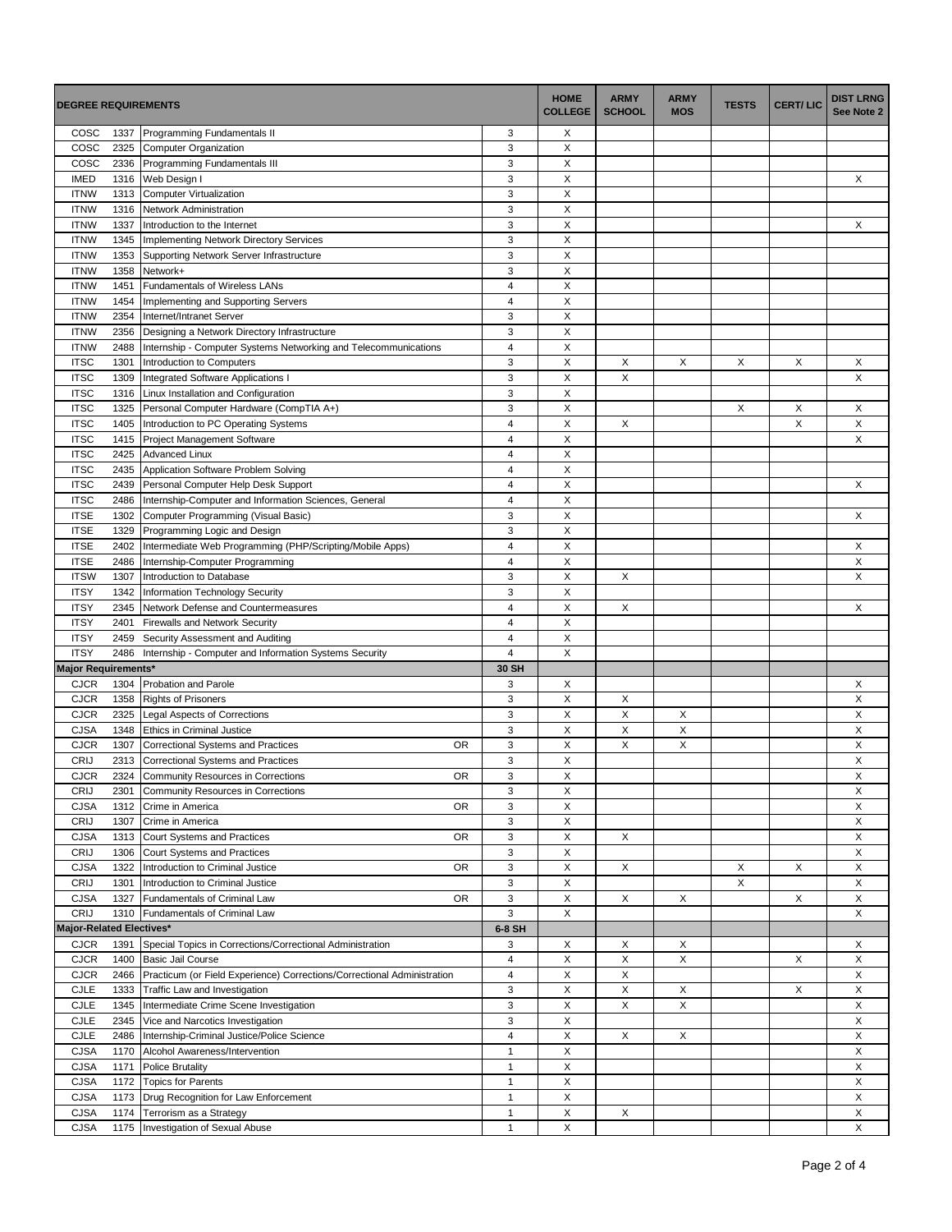|                            | <b>DEGREE REQUIREMENTS</b> |                                                                                     | <b>HOME</b><br><b>COLLEGE</b> | <b>ARMY</b><br><b>SCHOOL</b> | <b>ARMY</b><br><b>MOS</b> | <b>TESTS</b> | <b>CERT/LIC</b> | <b>DIST LRNG</b><br>See Note 2 |             |
|----------------------------|----------------------------|-------------------------------------------------------------------------------------|-------------------------------|------------------------------|---------------------------|--------------|-----------------|--------------------------------|-------------|
| COSC                       | 1337                       | Programming Fundamentals II                                                         | 3                             | Х                            |                           |              |                 |                                |             |
| COSC                       | 2325                       | <b>Computer Organization</b>                                                        | 3                             | X                            |                           |              |                 |                                |             |
| COSC                       | 2336                       | Programming Fundamentals III                                                        | 3                             | X                            |                           |              |                 |                                |             |
| <b>IMED</b>                | 1316                       | Web Design I                                                                        | 3                             | X                            |                           |              |                 |                                | X           |
| <b>ITNW</b>                | 1313                       | <b>Computer Virtualization</b>                                                      | 3                             | X                            |                           |              |                 |                                |             |
| <b>ITNW</b>                | 1316                       | Network Administration                                                              | 3                             | X                            |                           |              |                 |                                |             |
| <b>ITNW</b>                | 1337                       | Introduction to the Internet                                                        | 3<br>3                        | X<br>X                       |                           |              |                 |                                | X           |
| <b>ITNW</b><br><b>ITNW</b> | 1345<br>1353               | Implementing Network Directory Services<br>Supporting Network Server Infrastructure | 3                             | X                            |                           |              |                 |                                |             |
| <b>ITNW</b>                | 1358                       | Network+                                                                            | 3                             | X                            |                           |              |                 |                                |             |
| <b>ITNW</b>                | 1451                       | Fundamentals of Wireless LANs                                                       | 4                             | X                            |                           |              |                 |                                |             |
| <b>ITNW</b>                | 1454                       | Implementing and Supporting Servers                                                 | 4                             | X                            |                           |              |                 |                                |             |
| <b>ITNW</b>                | 2354                       | Internet/Intranet Server                                                            | 3                             | X                            |                           |              |                 |                                |             |
| <b>ITNW</b>                | 2356                       | Designing a Network Directory Infrastructure                                        | 3                             | X                            |                           |              |                 |                                |             |
| <b>ITNW</b>                | 2488                       | Internship - Computer Systems Networking and Telecommunications                     | $\overline{\mathbf{4}}$       | X                            |                           |              |                 |                                |             |
| <b>ITSC</b>                | 1301                       | Introduction to Computers                                                           | 3                             | $\pmb{\times}$               | X                         | X            | X               | X                              | X           |
| <b>ITSC</b>                | 1309                       | Integrated Software Applications I                                                  | 3                             | X                            | X                         |              |                 |                                | X           |
| <b>ITSC</b>                | 1316                       | Linux Installation and Configuration                                                | 3                             | X                            |                           |              |                 |                                |             |
| <b>ITSC</b>                | 1325                       | Personal Computer Hardware (CompTIA A+)                                             | 3                             | X                            |                           |              | X               | X                              | X           |
| <b>ITSC</b>                | 1405                       | Introduction to PC Operating Systems                                                | 4                             | X                            | X                         |              |                 | X                              | X           |
| <b>ITSC</b>                | 1415                       | Project Management Software                                                         | $\overline{4}$                | X                            |                           |              |                 |                                | X           |
| <b>ITSC</b>                | 2425                       | <b>Advanced Linux</b>                                                               | $\overline{4}$                | X                            |                           |              |                 |                                |             |
| <b>ITSC</b>                | 2435                       | Application Software Problem Solving                                                | $\overline{4}$                | X                            |                           |              |                 |                                |             |
| <b>ITSC</b>                | 2439                       | Personal Computer Help Desk Support                                                 | $\overline{4}$                | $\pmb{\mathsf{X}}$           |                           |              |                 |                                | X           |
| <b>ITSC</b>                | 2486                       | Internship-Computer and Information Sciences, General                               | $\overline{4}$                | X                            |                           |              |                 |                                |             |
| <b>ITSE</b>                | 1302                       | Computer Programming (Visual Basic)                                                 | 3                             | X                            |                           |              |                 |                                | X           |
| <b>ITSE</b>                | 1329                       | Programming Logic and Design                                                        | 3                             | X                            |                           |              |                 |                                |             |
| <b>ITSE</b>                | 2402                       | Intermediate Web Programming (PHP/Scripting/Mobile Apps)                            | $\overline{4}$                | X                            |                           |              |                 |                                | X           |
| <b>ITSE</b>                | 2486                       | Internship-Computer Programming                                                     | 4                             | Х                            |                           |              |                 |                                | X           |
| <b>ITSW</b>                | 1307                       | Introduction to Database                                                            | 3                             | X                            | X                         |              |                 |                                | X           |
| <b>ITSY</b>                | 1342                       | Information Technology Security                                                     | 3                             | X                            |                           |              |                 |                                |             |
| <b>ITSY</b>                | 2345                       | Network Defense and Countermeasures                                                 | $\overline{4}$                | X                            | X                         |              |                 |                                | X           |
| <b>ITSY</b>                | 2401                       | <b>Firewalls and Network Security</b>                                               | $\overline{4}$                | $\pmb{\mathsf{X}}$           |                           |              |                 |                                |             |
| <b>ITSY</b>                | 2459                       | Security Assessment and Auditing                                                    | 4                             | X                            |                           |              |                 |                                |             |
| <b>ITSY</b>                | 2486                       | Internship - Computer and Information Systems Security                              | $\overline{4}$                | X                            |                           |              |                 |                                |             |
| <b>Major Requirements*</b> |                            |                                                                                     | 30 SH                         |                              |                           |              |                 |                                |             |
| <b>CJCR</b>                | 1304                       | Probation and Parole                                                                | 3                             | X                            |                           |              |                 |                                | X           |
| <b>CJCR</b>                | 1358                       | <b>Rights of Prisoners</b>                                                          | 3                             | X                            | X                         |              |                 |                                | X           |
| <b>CJCR</b>                | 2325                       | Legal Aspects of Corrections                                                        | 3                             | X                            | X                         | X            |                 |                                | X           |
| <b>CJSA</b>                | 1348                       | <b>Ethics in Criminal Justice</b>                                                   | 3                             | X                            | X                         | X            |                 |                                | X           |
| <b>CJCR</b>                | 1307                       | <b>OR</b><br>Correctional Systems and Practices                                     | 3                             | Χ                            | X                         | Χ            |                 |                                | X           |
| CRIJ                       | 2313                       | Correctional Systems and Practices                                                  | 3                             | X                            |                           |              |                 |                                | X           |
| <b>CJCR</b>                |                            | 2324 Community Resources in Corrections<br>0R                                       | 3                             | X                            |                           |              |                 |                                | X           |
| CRIJ<br><b>CJSA</b>        | 2301<br>1312               | Community Resources in Corrections<br>Crime in America<br>0R                        | 3<br>3                        | X<br>X                       |                           |              |                 |                                | X<br>X      |
| CRIJ                       | 1307                       | Crime in America                                                                    | 3                             | X                            |                           |              |                 |                                | X           |
| <b>CJSA</b>                | 1313                       | Court Systems and Practices<br><b>OR</b>                                            | 3                             | $\mathsf X$                  | X                         |              |                 |                                | $\mathsf X$ |
| CRIJ                       | 1306                       | Court Systems and Practices                                                         | 3                             | X                            |                           |              |                 |                                | X           |
| <b>CJSA</b>                | 1322                       | Introduction to Criminal Justice<br><b>OR</b>                                       | $\mathbf{3}$                  | $\pmb{\times}$               | X                         |              | X               | X                              | $\mathsf X$ |
| CRIJ                       | 1301                       | Introduction to Criminal Justice                                                    | $\mathsf 3$                   | $\mathsf X$                  |                           |              | X               |                                | $\mathsf X$ |
| <b>CJSA</b>                | 1327                       | Fundamentals of Criminal Law<br>OR                                                  | 3                             | X                            | X                         | X            |                 | X                              | X           |
| CRIJ                       | 1310                       | Fundamentals of Criminal Law                                                        | 3                             | X                            |                           |              |                 |                                | X           |
| Major-Related Electives*   |                            |                                                                                     | 6-8 SH                        |                              |                           |              |                 |                                |             |
| <b>CJCR</b>                | 1391                       | Special Topics in Corrections/Correctional Administration                           | 3                             | X                            | X                         | X            |                 |                                | X           |
| <b>CJCR</b>                | 1400                       | <b>Basic Jail Course</b>                                                            | $\overline{4}$                | $\mathsf X$                  | X                         | X            |                 | X                              | Χ           |
| <b>CJCR</b>                | 2466                       | Practicum (or Field Experience) Corrections/Correctional Administration             | $\overline{4}$                | $\mathsf X$                  | X                         |              |                 |                                | $\mathsf X$ |
| CJLE                       | 1333                       | Traffic Law and Investigation                                                       | $\mathsf 3$                   | X                            | X                         | X            |                 | X                              | X           |
| <b>CJLE</b>                | 1345                       | Intermediate Crime Scene Investigation                                              |                               | X                            | X                         | X            |                 |                                | X           |
| <b>CJLE</b>                | 2345                       | 3<br>Vice and Narcotics Investigation                                               |                               | X                            |                           |              |                 |                                | X           |
| <b>CJLE</b>                | 2486                       | Internship-Criminal Justice/Police Science                                          | $\overline{4}$                | X                            | X                         | X            |                 |                                | X           |
| <b>CJSA</b>                | 1170                       | Alcohol Awareness/Intervention                                                      | $\mathbf{1}$                  | X                            |                           |              |                 |                                | X           |
| <b>CJSA</b>                | 1171                       | <b>Police Brutality</b>                                                             | $\mathbf{1}$                  | X                            |                           |              |                 |                                | X           |
| <b>CJSA</b>                | 1172                       | <b>Topics for Parents</b>                                                           | $\mathbf{1}$                  | $\mathsf X$                  |                           |              |                 |                                | $\mathsf X$ |
| <b>CJSA</b>                | 1173                       | Drug Recognition for Law Enforcement                                                | $\mathbf{1}$                  | X                            |                           |              |                 |                                | X           |
| <b>CJSA</b>                | 1174                       | Terrorism as a Strategy                                                             | $\mathbf{1}$                  | X                            | X                         |              |                 |                                | X           |
| <b>CJSA</b>                | 1175                       | Investigation of Sexual Abuse                                                       | $\mathbf{1}$                  | X                            |                           |              |                 |                                | X           |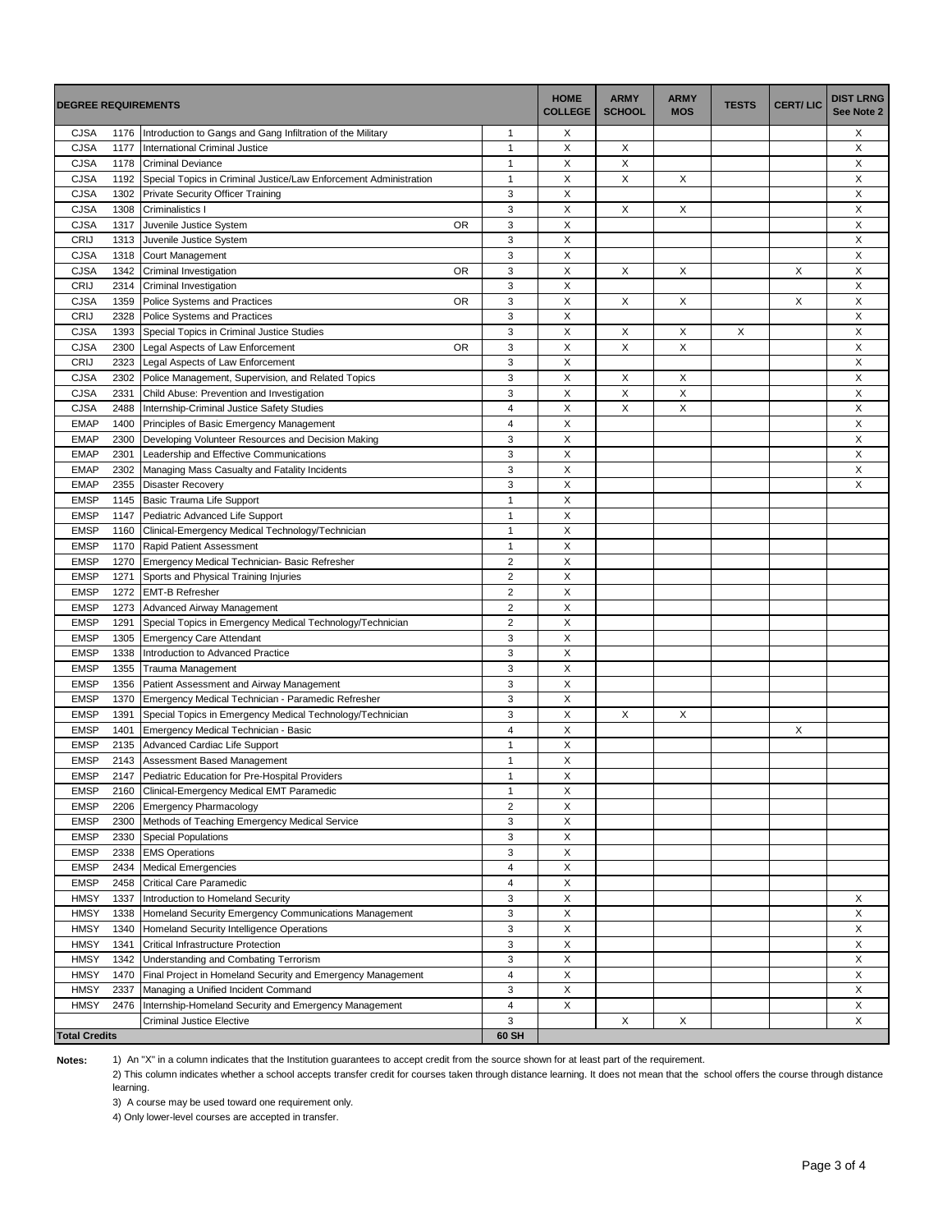| <b>DEGREE REQUIREMENTS</b> |              |                                                                                    | <b>HOME</b><br><b>COLLEGE</b>  | <b>ARMY</b><br><b>SCHOOL</b> | <b>ARMY</b><br><b>MOS</b> | <b>TESTS</b> | <b>CERT/LIC</b> | <b>DIST LRNG</b><br>See Note 2 |   |
|----------------------------|--------------|------------------------------------------------------------------------------------|--------------------------------|------------------------------|---------------------------|--------------|-----------------|--------------------------------|---|
| <b>CJSA</b>                | 1176         | Introduction to Gangs and Gang Infiltration of the Military                        | 1                              | Х                            |                           |              |                 |                                | Х |
| <b>CJSA</b>                | 1177         | International Criminal Justice                                                     | 1                              | X                            | Х                         |              |                 |                                | X |
| <b>CJSA</b>                | 1178         | <b>Criminal Deviance</b>                                                           | $\mathbf{1}$                   | X                            | X                         |              |                 |                                | X |
| <b>CJSA</b>                | 1192         | Special Topics in Criminal Justice/Law Enforcement Administration                  | 1                              | X                            | X                         | X            |                 |                                | X |
| <b>CJSA</b>                | 1302         | Private Security Officer Training                                                  | 3                              | X                            |                           |              |                 |                                | X |
| <b>CJSA</b>                | 1308         | Criminalistics I                                                                   | 3                              | X                            | X                         | X            |                 |                                | X |
| <b>CJSA</b>                | 1317         | Juvenile Justice System<br>OR                                                      | 3                              | Х                            |                           |              |                 |                                | Х |
| CRIJ                       | 1313         | Juvenile Justice System                                                            | 3                              | X                            |                           |              |                 |                                | X |
| <b>CJSA</b>                | 1318         | Court Management                                                                   | 3                              | X                            |                           |              |                 |                                | X |
| <b>CJSA</b>                | 1342         | Criminal Investigation<br>OR                                                       | 3                              | X                            | X                         | х            |                 | Х                              | X |
| CRIJ                       | 2314         | Criminal Investigation                                                             | 3                              | X                            |                           |              |                 |                                | X |
| <b>CJSA</b>                | 1359         | <b>OR</b><br>Police Systems and Practices                                          | 3                              | Χ                            | X                         | X            |                 | X                              | Χ |
| CRIJ                       | 2328         | Police Systems and Practices                                                       | 3                              | X                            |                           |              |                 |                                | X |
| <b>CJSA</b>                | 1393         | Special Topics in Criminal Justice Studies                                         | 3                              | X                            | X                         | X            | X               |                                | X |
| <b>CJSA</b>                | 2300         | egal Aspects of Law Enforcement<br>OR                                              | 3                              | X                            | X                         | X            |                 |                                | Χ |
| CRIJ                       | 2323         | Legal Aspects of Law Enforcement                                                   | 3                              | X                            |                           |              |                 |                                | X |
| <b>CJSA</b>                | 2302         | Police Management, Supervision, and Related Topics                                 | 3                              | X                            | X                         | X            |                 |                                | X |
| <b>CJSA</b>                | 2331         | Child Abuse: Prevention and Investigation                                          | 3                              | Х                            | X                         | Х            |                 |                                | Х |
| <b>CJSA</b>                | 2488         | Internship-Criminal Justice Safety Studies                                         | $\overline{4}$                 | X                            | X                         | X            |                 |                                | X |
| <b>EMAP</b>                | 1400         | Principles of Basic Emergency Management                                           | $\overline{\mathbf{4}}$        | X                            |                           |              |                 |                                | X |
| <b>EMAP</b>                | 2300         | Developing Volunteer Resources and Decision Making                                 | 3                              | X                            |                           |              |                 |                                | X |
| <b>EMAP</b>                | 2301         | Leadership and Effective Communications                                            | 3                              | $\sf X$                      |                           |              |                 |                                | Χ |
| <b>EMAP</b>                | 2302         | Managing Mass Casualty and Fatality Incidents                                      | 3                              | X                            |                           |              |                 |                                | X |
| <b>EMAP</b>                | 2355         | <b>Disaster Recovery</b>                                                           | 3                              | X                            |                           |              |                 |                                | X |
| <b>EMSP</b>                | 1145         | Basic Trauma Life Support                                                          |                                | X                            |                           |              |                 |                                |   |
| <b>EMSP</b>                | 1147         | Pediatric Advanced Life Support                                                    |                                | X                            |                           |              |                 |                                |   |
| <b>EMSP</b>                | 1160         | Clinical-Emergency Medical Technology/Technician                                   |                                | X                            |                           |              |                 |                                |   |
| <b>EMSP</b>                | 1170         | Rapid Patient Assessment                                                           |                                | X                            |                           |              |                 |                                |   |
| <b>EMSP</b>                | 1270         | Emergency Medical Technician- Basic Refresher                                      | $\mathbf{1}$<br>$\overline{2}$ | X                            |                           |              |                 |                                |   |
| <b>EMSP</b>                | 1271         | Sports and Physical Training Injuries                                              | $\overline{\mathbf{c}}$        | X                            |                           |              |                 |                                |   |
| <b>EMSP</b>                | 1272         | <b>EMT-B Refresher</b>                                                             | $\overline{2}$                 | X                            |                           |              |                 |                                |   |
| <b>EMSP</b>                | 1273         | Advanced Airway Management                                                         | $\overline{2}$                 | X                            |                           |              |                 |                                |   |
| <b>EMSP</b>                | 1291         | Special Topics in Emergency Medical Technology/Technician                          | $\overline{2}$                 | X                            |                           |              |                 |                                |   |
| <b>EMSP</b>                | 1305         | <b>Emergency Care Attendant</b>                                                    | 3                              | Х                            |                           |              |                 |                                |   |
| <b>EMSP</b>                | 1338         | Introduction to Advanced Practice                                                  | 3                              | X                            |                           |              |                 |                                |   |
| <b>EMSP</b>                | 1355         | Trauma Management                                                                  | 3                              | X                            |                           |              |                 |                                |   |
| <b>EMSP</b>                | 1356         | Patient Assessment and Airway Management                                           | 3                              | Χ                            |                           |              |                 |                                |   |
| <b>EMSP</b>                | 1370         |                                                                                    | 3                              | X                            |                           |              |                 |                                |   |
| <b>EMSP</b>                | 1391         | Emergency Medical Technician - Paramedic Refresher                                 |                                | X                            | X                         | Х            |                 |                                |   |
| <b>EMSP</b>                | 1401         | Special Topics in Emergency Medical Technology/Technician                          | 3<br>4                         | X                            |                           |              |                 | X                              |   |
| <b>EMSP</b>                | 2135         | Emergency Medical Technician - Basic<br>Advanced Cardiac Life Support              | $\mathbf{1}$                   | X                            |                           |              |                 |                                |   |
| <b>EMSP</b>                |              |                                                                                    |                                | Χ                            |                           |              |                 |                                |   |
| <b>EMSP</b>                | 2143         | Assessment Based Management<br>2147 Pediatric Education for Pre-Hospital Providers | 1<br>$\mathbf{1}$              | X                            |                           |              |                 |                                |   |
|                            |              |                                                                                    |                                |                              |                           |              |                 |                                |   |
| <b>EMSP</b><br><b>EMSP</b> | 2160<br>2206 | Clinical-Emergency Medical EMT Paramedic<br><b>Emergency Pharmacology</b>          | 1<br>$\overline{2}$            | X<br>X                       |                           |              |                 |                                |   |
| <b>EMSP</b>                | 2300         | Methods of Teaching Emergency Medical Service                                      | 3                              | X                            |                           |              |                 |                                |   |
| <b>EMSP</b>                | 2330         | <b>Special Populations</b>                                                         | 3                              | X                            |                           |              |                 |                                |   |
|                            |              |                                                                                    |                                |                              |                           |              |                 |                                |   |
| <b>EMSP</b>                | 2338         | <b>EMS Operations</b>                                                              | 3<br>$\overline{4}$            | X                            |                           |              |                 |                                |   |
| <b>EMSP</b>                | 2434         | <b>Medical Emergencies</b>                                                         | 4                              | X                            |                           |              |                 |                                |   |
| <b>EMSP</b>                | 2458         | <b>Critical Care Paramedic</b><br>Introduction to Homeland Security                | 3                              | X                            |                           |              |                 |                                | X |
| <b>HMSY</b>                | 1337         |                                                                                    | 3                              | X<br>X                       |                           |              |                 |                                | X |
| <b>HMSY</b><br><b>HMSY</b> | 1338         | Homeland Security Emergency Communications Management                              | 3                              | X                            |                           |              |                 |                                | X |
|                            | 1340         | Homeland Security Intelligence Operations                                          |                                |                              |                           |              |                 |                                |   |
| <b>HMSY</b>                | 1341         | Critical Infrastructure Protection                                                 | 3                              | X                            |                           |              |                 |                                | X |
| <b>HMSY</b>                | 1342         | Understanding and Combating Terrorism                                              | 3                              | X                            |                           |              |                 |                                | X |
| <b>HMSY</b>                | 1470         | Final Project in Homeland Security and Emergency Management                        | $\overline{\mathbf{4}}$        | X                            |                           |              |                 |                                | X |
| <b>HMSY</b>                | 2337         | Managing a Unified Incident Command                                                | 3                              | X                            |                           |              |                 |                                | X |
| <b>HMSY</b>                | 2476         | Internship-Homeland Security and Emergency Management                              | $\overline{4}$                 | $\mathsf X$                  |                           |              |                 |                                | X |
|                            |              | <b>Criminal Justice Elective</b>                                                   | 3                              |                              | X                         | X            |                 |                                | X |
| <b>Total Credits</b>       |              |                                                                                    | 60 SH                          |                              |                           |              |                 |                                |   |

**Notes:**

1) An "X" in a column indicates that the Institution guarantees to accept credit from the source shown for at least part of the requirement.

2) This column indicates whether a school accepts transfer credit for courses taken through distance learning. It does not mean that the school offers the course through distance learning.

3) A course may be used toward one requirement only.

4) Only lower-level courses are accepted in transfer.